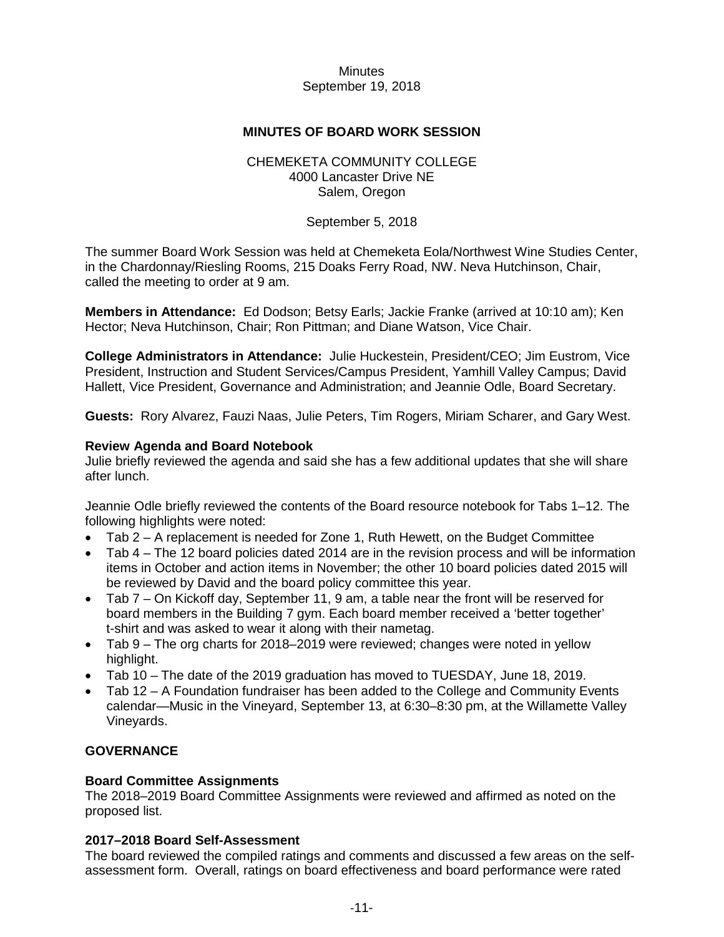## **MINUTES OF BOARD WORK SESSION**

## CHEMEKETA COMMUNITY COLLEGE 4000 Lancaster Drive NE Salem, Oregon

## September 5, 2018

The summer Board Work Session was held at Chemeketa Eola/Northwest Wine Studies Center, in the Chardonnay/Riesling Rooms, 215 Doaks Ferry Road, NW. Neva Hutchinson, Chair, called the meeting to order at 9 am.

**Members in Attendance:** Ed Dodson; Betsy Earls; Jackie Franke (arrived at 10:10 am); Ken Hector; Neva Hutchinson, Chair; Ron Pittman; and Diane Watson, Vice Chair.

**College Administrators in Attendance:** Julie Huckestein, President/CEO; Jim Eustrom, Vice President, Instruction and Student Services/Campus President, Yamhill Valley Campus; David Hallett, Vice President, Governance and Administration; and Jeannie Odle, Board Secretary.

**Guests:** Rory Alvarez, Fauzi Naas, Julie Peters, Tim Rogers, Miriam Scharer, and Gary West.

## **Review Agenda and Board Notebook**

Julie briefly reviewed the agenda and said she has a few additional updates that she will share after lunch.

Jeannie Odle briefly reviewed the contents of the Board resource notebook for Tabs 1–12. The following highlights were noted:

- Tab 2 A replacement is needed for Zone 1, Ruth Hewett, on the Budget Committee
- Tab 4 The 12 board policies dated 2014 are in the revision process and will be information items in October and action items in November; the other 10 board policies dated 2015 will be reviewed by David and the board policy committee this year.
- Tab 7 On Kickoff day, September 11, 9 am, a table near the front will be reserved for board members in the Building 7 gym. Each board member received a 'better together' t-shirt and was asked to wear it along with their nametag.
- Tab 9 The org charts for 2018–2019 were reviewed; changes were noted in yellow highlight.
- Tab 10 The date of the 2019 graduation has moved to TUESDAY, June 18, 2019.
- Tab 12 A Foundation fundraiser has been added to the College and Community Events calendar—Music in the Vineyard, September 13, at 6:30–8:30 pm, at the Willamette Valley Vineyards.

# **GOVERNANCE**

## **Board Committee Assignments**

The 2018–2019 Board Committee Assignments were reviewed and affirmed as noted on the proposed list.

## **2017–2018 Board Self-Assessment**

The board reviewed the compiled ratings and comments and discussed a few areas on the selfassessment form. Overall, ratings on board effectiveness and board performance were rated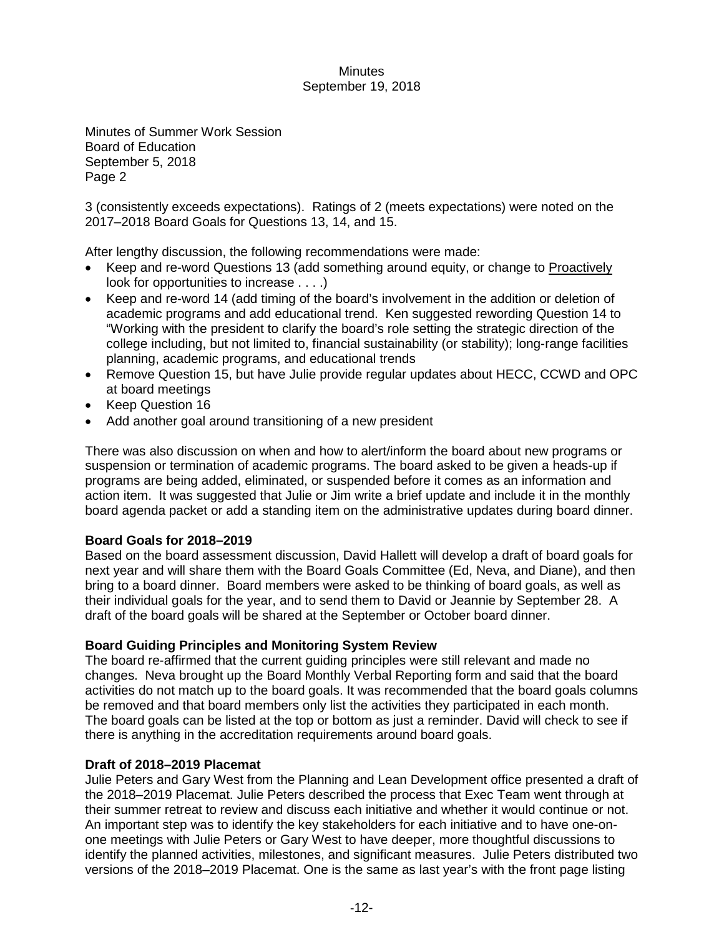Minutes of Summer Work Session Board of Education September 5, 2018 Page 2

3 (consistently exceeds expectations). Ratings of 2 (meets expectations) were noted on the 2017–2018 Board Goals for Questions 13, 14, and 15.

After lengthy discussion, the following recommendations were made:

- Keep and re-word Questions 13 (add something around equity, or change to Proactively look for opportunities to increase . . . .)
- Keep and re-word 14 (add timing of the board's involvement in the addition or deletion of academic programs and add educational trend. Ken suggested rewording Question 14 to "Working with the president to clarify the board's role setting the strategic direction of the college including, but not limited to, financial sustainability (or stability); long-range facilities planning, academic programs, and educational trends
- Remove Question 15, but have Julie provide regular updates about HECC, CCWD and OPC at board meetings
- Keep Question 16
- Add another goal around transitioning of a new president

There was also discussion on when and how to alert/inform the board about new programs or suspension or termination of academic programs. The board asked to be given a heads-up if programs are being added, eliminated, or suspended before it comes as an information and action item. It was suggested that Julie or Jim write a brief update and include it in the monthly board agenda packet or add a standing item on the administrative updates during board dinner.

# **Board Goals for 2018–2019**

Based on the board assessment discussion, David Hallett will develop a draft of board goals for next year and will share them with the Board Goals Committee (Ed, Neva, and Diane), and then bring to a board dinner. Board members were asked to be thinking of board goals, as well as their individual goals for the year, and to send them to David or Jeannie by September 28. A draft of the board goals will be shared at the September or October board dinner.

# **Board Guiding Principles and Monitoring System Review**

The board re-affirmed that the current guiding principles were still relevant and made no changes. Neva brought up the Board Monthly Verbal Reporting form and said that the board activities do not match up to the board goals. It was recommended that the board goals columns be removed and that board members only list the activities they participated in each month. The board goals can be listed at the top or bottom as just a reminder. David will check to see if there is anything in the accreditation requirements around board goals.

## **Draft of 2018–2019 Placemat**

Julie Peters and Gary West from the Planning and Lean Development office presented a draft of the 2018–2019 Placemat. Julie Peters described the process that Exec Team went through at their summer retreat to review and discuss each initiative and whether it would continue or not. An important step was to identify the key stakeholders for each initiative and to have one-onone meetings with Julie Peters or Gary West to have deeper, more thoughtful discussions to identify the planned activities, milestones, and significant measures. Julie Peters distributed two versions of the 2018–2019 Placemat. One is the same as last year's with the front page listing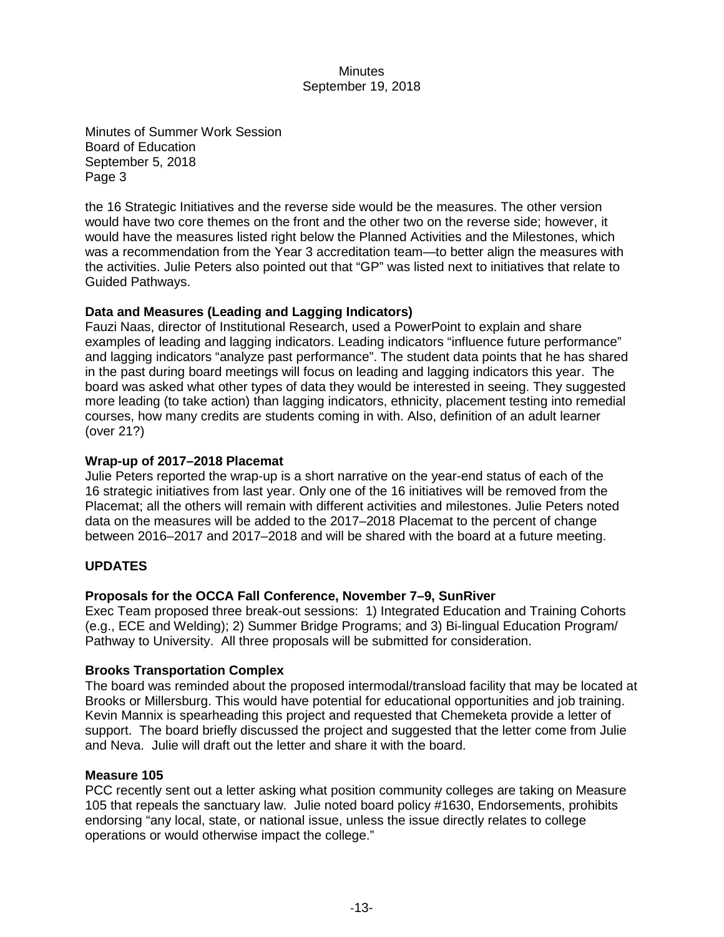Minutes of Summer Work Session Board of Education September 5, 2018 Page 3

the 16 Strategic Initiatives and the reverse side would be the measures. The other version would have two core themes on the front and the other two on the reverse side; however, it would have the measures listed right below the Planned Activities and the Milestones, which was a recommendation from the Year 3 accreditation team—to better align the measures with the activities. Julie Peters also pointed out that "GP" was listed next to initiatives that relate to Guided Pathways.

## **Data and Measures (Leading and Lagging Indicators)**

Fauzi Naas, director of Institutional Research, used a PowerPoint to explain and share examples of leading and lagging indicators. Leading indicators "influence future performance" and lagging indicators "analyze past performance". The student data points that he has shared in the past during board meetings will focus on leading and lagging indicators this year. The board was asked what other types of data they would be interested in seeing. They suggested more leading (to take action) than lagging indicators, ethnicity, placement testing into remedial courses, how many credits are students coming in with. Also, definition of an adult learner (over 21?)

## **Wrap-up of 2017–2018 Placemat**

Julie Peters reported the wrap-up is a short narrative on the year-end status of each of the 16 strategic initiatives from last year. Only one of the 16 initiatives will be removed from the Placemat; all the others will remain with different activities and milestones. Julie Peters noted data on the measures will be added to the 2017–2018 Placemat to the percent of change between 2016–2017 and 2017–2018 and will be shared with the board at a future meeting.

## **UPDATES**

## **Proposals for the OCCA Fall Conference, November 7–9, SunRiver**

Exec Team proposed three break-out sessions: 1) Integrated Education and Training Cohorts (e.g., ECE and Welding); 2) Summer Bridge Programs; and 3) Bi-lingual Education Program/ Pathway to University. All three proposals will be submitted for consideration.

## **Brooks Transportation Complex**

The board was reminded about the proposed intermodal/transload facility that may be located at Brooks or Millersburg. This would have potential for educational opportunities and job training. Kevin Mannix is spearheading this project and requested that Chemeketa provide a letter of support. The board briefly discussed the project and suggested that the letter come from Julie and Neva. Julie will draft out the letter and share it with the board.

## **Measure 105**

PCC recently sent out a letter asking what position community colleges are taking on Measure 105 that repeals the sanctuary law. Julie noted board policy #1630, Endorsements, prohibits endorsing "any local, state, or national issue, unless the issue directly relates to college operations or would otherwise impact the college."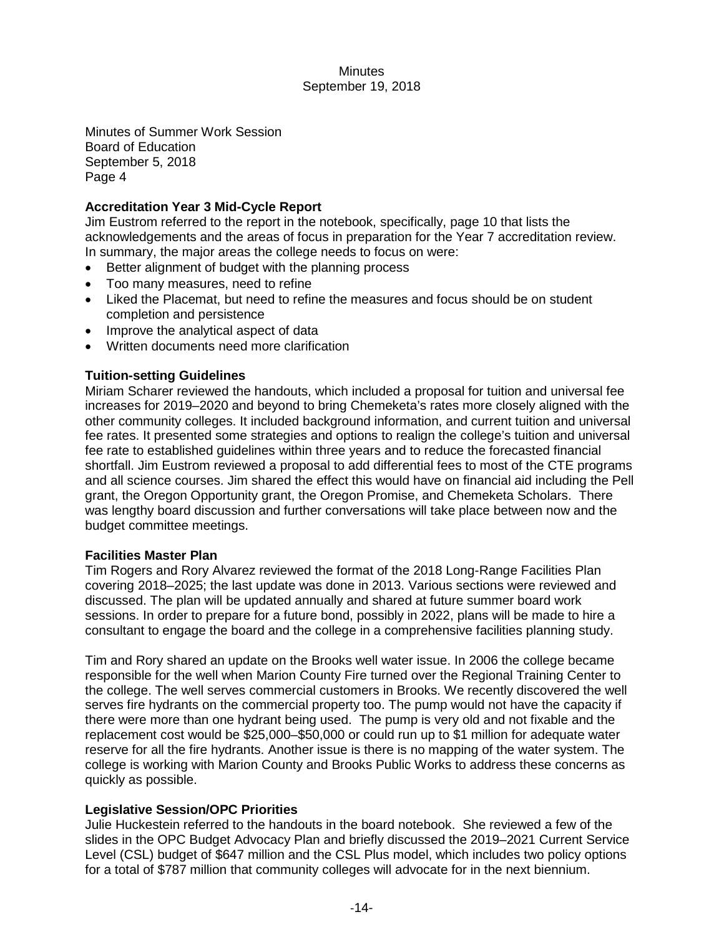Minutes of Summer Work Session Board of Education September 5, 2018 Page 4

# **Accreditation Year 3 Mid-Cycle Report**

Jim Eustrom referred to the report in the notebook, specifically, page 10 that lists the acknowledgements and the areas of focus in preparation for the Year 7 accreditation review. In summary, the major areas the college needs to focus on were:

- Better alignment of budget with the planning process
- Too many measures, need to refine
- Liked the Placemat, but need to refine the measures and focus should be on student completion and persistence
- Improve the analytical aspect of data
- Written documents need more clarification

## **Tuition-setting Guidelines**

Miriam Scharer reviewed the handouts, which included a proposal for tuition and universal fee increases for 2019–2020 and beyond to bring Chemeketa's rates more closely aligned with the other community colleges. It included background information, and current tuition and universal fee rates. It presented some strategies and options to realign the college's tuition and universal fee rate to established guidelines within three years and to reduce the forecasted financial shortfall. Jim Eustrom reviewed a proposal to add differential fees to most of the CTE programs and all science courses. Jim shared the effect this would have on financial aid including the Pell grant, the Oregon Opportunity grant, the Oregon Promise, and Chemeketa Scholars. There was lengthy board discussion and further conversations will take place between now and the budget committee meetings.

## **Facilities Master Plan**

Tim Rogers and Rory Alvarez reviewed the format of the 2018 Long-Range Facilities Plan covering 2018–2025; the last update was done in 2013. Various sections were reviewed and discussed. The plan will be updated annually and shared at future summer board work sessions. In order to prepare for a future bond, possibly in 2022, plans will be made to hire a consultant to engage the board and the college in a comprehensive facilities planning study.

Tim and Rory shared an update on the Brooks well water issue. In 2006 the college became responsible for the well when Marion County Fire turned over the Regional Training Center to the college. The well serves commercial customers in Brooks. We recently discovered the well serves fire hydrants on the commercial property too. The pump would not have the capacity if there were more than one hydrant being used. The pump is very old and not fixable and the replacement cost would be \$25,000–\$50,000 or could run up to \$1 million for adequate water reserve for all the fire hydrants. Another issue is there is no mapping of the water system. The college is working with Marion County and Brooks Public Works to address these concerns as quickly as possible.

## **Legislative Session/OPC Priorities**

Julie Huckestein referred to the handouts in the board notebook. She reviewed a few of the slides in the OPC Budget Advocacy Plan and briefly discussed the 2019–2021 Current Service Level (CSL) budget of \$647 million and the CSL Plus model, which includes two policy options for a total of \$787 million that community colleges will advocate for in the next biennium.